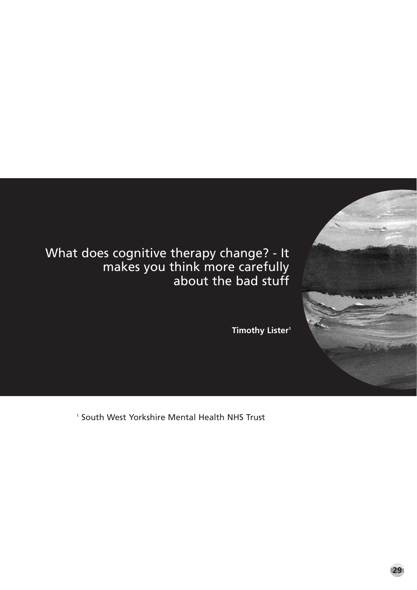

What does cognitive therapy change? - It makes you think more carefully about the bad stuff

**Timothy Lister1** 

1 South West Yorkshire Mental Health NHS Trust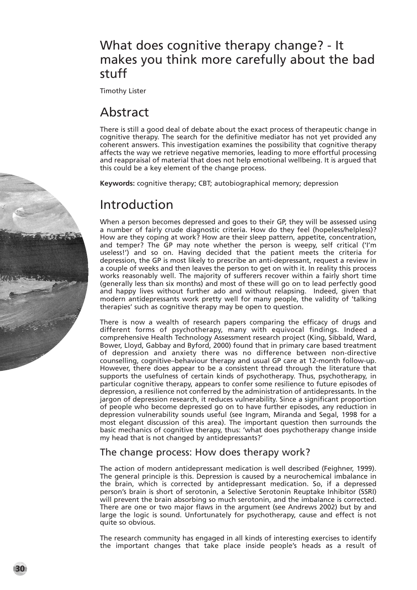### What does cognitive therapy change? - It makes you think more carefully about the bad stuff

Timothy Lister

# Abstract

There is still a good deal of debate about the exact process of therapeutic change in cognitive therapy. The search for the definitive mediator has not yet provided any coherent answers. This investigation examines the possibility that cognitive therapy affects the way we retrieve negative memories, leading to more effortful processing and reappraisal of material that does not help emotional wellbeing. It is argued that this could be a key element of the change process.

**Keywords:** cognitive therapy; CBT; autobiographical memory; depression

# Introduction

When a person becomes depressed and goes to their GP, they will be assessed using a number of fairly crude diagnostic criteria. How do they feel (hopeless/helpless)? How are they coping at work? How are their sleep pattern, appetite, concentration, and temper? The GP may note whether the person is weepy, self critical ('I'm useless!') and so on. Having decided that the patient meets the criteria for depression, the GP is most likely to prescribe an anti-depressant, request a review in a couple of weeks and then leaves the person to get on with it. In reality this process works reasonably well. The majority of sufferers recover within a fairly short time (generally less than six months) and most of these will go on to lead perfectly good and happy lives without further ado and without relapsing. Indeed, given that modern antidepressants work pretty well for many people, the validity of 'talking therapies' such as cognitive therapy may be open to question.

There is now a wealth of research papers comparing the efficacy of drugs and different forms of psychotherapy, many with equivocal findings. Indeed a comprehensive Health Technology Assessment research project (King, Sibbald, Ward, Bower, Lloyd, Gabbay and Byford, 2000) found that in primary care based treatment of depression and anxiety there was no difference between non-directive counselling, cognitive–behaviour therapy and usual GP care at 12-month follow-up. However, there does appear to be a consistent thread through the literature that supports the usefulness of certain kinds of psychotherapy. Thus, psychotherapy, in particular cognitive therapy, appears to confer some resilience to future episodes of depression, a resilience not conferred by the administration of antidepressants. In the jargon of depression research, it reduces vulnerability. Since a significant proportion of people who become depressed go on to have further episodes, any reduction in depression vulnerability sounds useful (see Ingram, Miranda and Segal, 1998 for a most elegant discussion of this area). The important question then surrounds the basic mechanics of cognitive therapy, thus: 'what does psychotherapy change inside my head that is not changed by antidepressants?'

#### The change process: How does therapy work?

The action of modern antidepressant medication is well described (Feighner, 1999). The general principle is this. Depression is caused by a neurochemical imbalance in the brain, which is corrected by antidepressant medication. So, if a depressed person's brain is short of serotonin, a Selective Serotonin Reuptake Inhibitor (SSRI) will prevent the brain absorbing so much serotonin, and the imbalance is corrected. There are one or two major flaws in the argument (see Andrews 2002) but by and large the logic is sound. Unfortunately for psychotherapy, cause and effect is not quite so obvious.

The research community has engaged in all kinds of interesting exercises to identify the important changes that take place inside people's heads as a result of

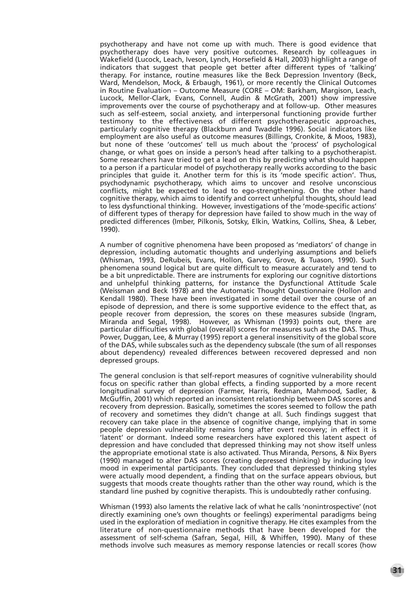psychotherapy and have not come up with much. There is good evidence that psychotherapy does have very positive outcomes. Research by colleagues in Wakefield (Lucock, Leach, Iveson, Lynch, Horsefield & Hall, 2003) highlight a range of indicators that suggest that people get better after different types of 'talking' therapy. For instance, routine measures like the Beck Depression Inventory (Beck, Ward, Mendelson, Mock, & Erbaugh, 1961), or more recently the Clinical Outcomes in Routine Evaluation – Outcome Measure (CORE – OM: Barkham, Margison, Leach, Lucock, Mellor-Clark, Evans, Connell, Audin & McGrath, 2001) show impressive improvements over the course of psychotherapy and at follow-up. Other measures such as self-esteem, social anxiety, and interpersonal functioning provide further testimony to the effectiveness of different psychotherapeutic approaches, particularly cognitive therapy (Blackburn and Twaddle 1996). Social indicators like employment are also useful as outcome measures (Billings, Cronkite, & Moos, 1983), but none of these 'outcomes' tell us much about the 'process' of psychological change, or what goes on inside a person's head after talking to a psychotherapist. Some researchers have tried to get a lead on this by predicting what should happen to a person if a particular model of psychotherapy really works according to the basic principles that guide it. Another term for this is its 'mode specific action'. Thus, psychodynamic psychotherapy, which aims to uncover and resolve unconscious conflicts, might be expected to lead to ego-strengthening. On the other hand cognitive therapy, which aims to identify and correct unhelpful thoughts, should lead to less dysfunctional thinking. However, investigations of the 'mode-specific actions' of different types of therapy for depression have failed to show much in the way of predicted differences (Imber, Pilkonis, Sotsky, Elkin, Watkins, Collins, Shea, & Leber, 1990).

A number of cognitive phenomena have been proposed as 'mediators' of change in depression, including automatic thoughts and underlying assumptions and beliefs (Whisman, 1993, DeRubeis, Evans, Hollon, Garvey, Grove, & Tuason, 1990). Such phenomena sound logical but are quite difficult to measure accurately and tend to be a bit unpredictable. There are instruments for exploring our cognitive distortions and unhelpful thinking patterns, for instance the Dysfunctional Attitude Scale (Weissman and Beck 1978) and the Automatic Thought Questionnaire (Hollon and Kendall 1980). These have been investigated in some detail over the course of an episode of depression, and there is some supportive evidence to the effect that, as people recover from depression, the scores on these measures subside (Ingram, Miranda and Segal, 1998). However, as Whisman (1993) points out, there are particular difficulties with global (overall) scores for measures such as the DAS. Thus, Power, Duggan, Lee, & Murray (1995) report a general insensitivity of the global score of the DAS, while subscales such as the dependency subscale (the sum of all responses about dependency) revealed differences between recovered depressed and non depressed groups.

The general conclusion is that self-report measures of cognitive vulnerability should focus on specific rather than global effects, a finding supported by a more recent longitudinal survey of depression (Farmer, Harris, Redman, Mahmood, Sadler, & McGuffin, 2001) which reported an inconsistent relationship between DAS scores and recovery from depression. Basically, sometimes the scores seemed to follow the path of recovery and sometimes they didn't change at all. Such findings suggest that recovery can take place in the absence of cognitive change, implying that in some people depression vulnerability remains long after overt recovery; in effect it is 'latent' or dormant. Indeed some researchers have explored this latent aspect of depression and have concluded that depressed thinking may not show itself unless the appropriate emotional state is also activated. Thus Miranda, Persons, & Nix Byers (1990) managed to alter DAS scores (creating depressed thinking) by inducing low mood in experimental participants. They concluded that depressed thinking styles were actually mood dependent, a finding that on the surface appears obvious, but suggests that moods create thoughts rather than the other way round, which is the standard line pushed by cognitive therapists. This is undoubtedly rather confusing.

Whisman (1993) also laments the relative lack of what he calls 'nonintrospective' (not directly examining one's own thoughts or feelings) experimental paradigms being used in the exploration of mediation in cognitive therapy. He cites examples from the literature of non-questionnaire methods that have been developed for the assessment of self-schema (Safran, Segal, Hill, & Whiffen, 1990). Many of these methods involve such measures as memory response latencies or recall scores (how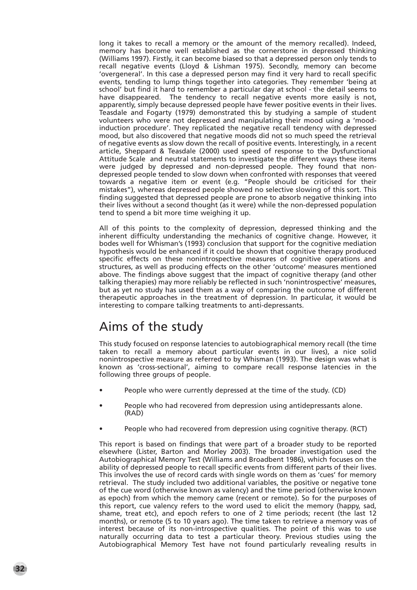long it takes to recall a memory or the amount of the memory recalled). Indeed, memory has become well established as the cornerstone in depressed thinking (Williams 1997). Firstly, it can become biased so that a depressed person only tends to recall negative events (Lloyd & Lishman 1975). Secondly, memory can become 'overgeneral'. In this case a depressed person may find it very hard to recall specific events, tending to lump things together into categories. They remember 'being at school' but find it hard to remember a particular day at school - the detail seems to have disappeared. The tendency to recall negative events more easily is not, apparently, simply because depressed people have fewer positive events in their lives. Teasdale and Fogarty (1979) demonstrated this by studying a sample of student volunteers who were not depressed and manipulating their mood using a 'moodinduction procedure'. They replicated the negative recall tendency with depressed mood, but also discovered that negative moods did not so much speed the retrieval of negative events as slow down the recall of positive events. Interestingly, in a recent article, Sheppard & Teasdale (2000) used speed of response to the Dysfunctional Attitude Scale and neutral statements to investigate the different ways these items were judged by depressed and non-depressed people. They found that nondepressed people tended to slow down when confronted with responses that veered towards a negative item or event (e.g. "People should be criticised for their mistakes"), whereas depressed people showed no selective slowing of this sort. This finding suggested that depressed people are prone to absorb negative thinking into their lives without a second thought (as it were) while the non-depressed population tend to spend a bit more time weighing it up.

All of this points to the complexity of depression, depressed thinking and the inherent difficulty understanding the mechanics of cognitive change. However, it bodes well for Whisman's (1993) conclusion that support for the cognitive mediation hypothesis would be enhanced if it could be shown that cognitive therapy produced specific effects on these nonintrospective measures of cognitive operations and structures, as well as producing effects on the other 'outcome' measures mentioned above. The findings above suggest that the impact of cognitive therapy (and other talking therapies) may more reliably be reflected in such 'nonintrospective' measures, but as yet no study has used them as a way of comparing the outcome of different therapeutic approaches in the treatment of depression. In particular, it would be interesting to compare talking treatments to anti-depressants.

# Aims of the study

This study focused on response latencies to autobiographical memory recall (the time taken to recall a memory about particular events in our lives), a nice solid nonintrospective measure as referred to by Whisman (1993). The design was what is known as 'cross-sectional', aiming to compare recall response latencies in the following three groups of people.

- People who were currently depressed at the time of the study. (CD)
- People who had recovered from depression using antidepressants alone. (RAD)
- People who had recovered from depression using cognitive therapy. (RCT)

This report is based on findings that were part of a broader study to be reported elsewhere (Lister, Barton and Morley 2003). The broader investigation used the Autobiographical Memory Test (Williams and Broadbent 1986), which focuses on the ability of depressed people to recall specific events from different parts of their lives. This involves the use of record cards with single words on them as 'cues' for memory retrieval. The study included two additional variables, the positive or negative tone of the cue word (otherwise known as valency) and the time period (otherwise known as epoch) from which the memory came (recent or remote). So for the purposes of this report, cue valency refers to the word used to elicit the memory (happy, sad, shame, treat etc), and epoch refers to one of 2 time periods; recent (the last 12 months), or remote (5 to 10 years ago). The time taken to retrieve a memory was of interest because of its non-introspective qualities. The point of this was to use naturally occurring data to test a particular theory. Previous studies using the Autobiographical Memory Test have not found particularly revealing results in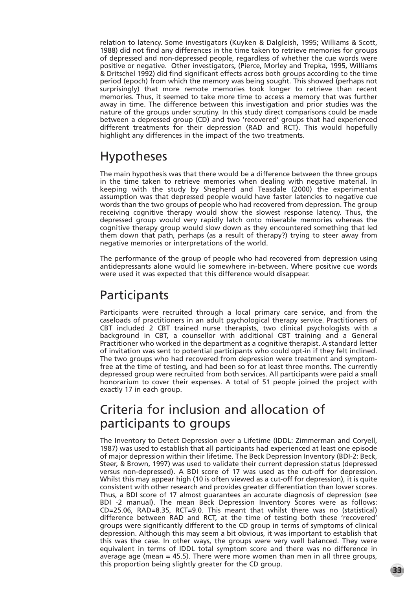relation to latency. Some investigators (Kuyken & Dalgleish, 1995; Williams & Scott, 1988) did not find any differences in the time taken to retrieve memories for groups of depressed and non-depressed people, regardless of whether the cue words were positive or negative. Other investigators, (Pierce, Morley and Trepka, 1995, Williams & Dritschel 1992) did find significant effects across both groups according to the time period (epoch) from which the memory was being sought. This showed (perhaps not surprisingly) that more remote memories took longer to retrieve than recent memories. Thus, it seemed to take more time to access a memory that was further away in time. The difference between this investigation and prior studies was the nature of the groups under scrutiny. In this study direct comparisons could be made between a depressed group (CD) and two 'recovered' groups that had experienced different treatments for their depression (RAD and RCT). This would hopefully highlight any differences in the impact of the two treatments.

### Hypotheses

The main hypothesis was that there would be a difference between the three groups in the time taken to retrieve memories when dealing with negative material. In keeping with the study by Shepherd and Teasdale (2000) the experimental assumption was that depressed people would have faster latencies to negative cue words than the two groups of people who had recovered from depression. The group receiving cognitive therapy would show the slowest response latency. Thus, the depressed group would very rapidly latch onto miserable memories whereas the cognitive therapy group would slow down as they encountered something that led them down that path, perhaps (as a result of therapy?) trying to steer away from negative memories or interpretations of the world.

The performance of the group of people who had recovered from depression using antidepressants alone would lie somewhere in-between. Where positive cue words were used it was expected that this difference would disappear.

## **Participants**

Participants were recruited through a local primary care service, and from the caseloads of practitioners in an adult psychological therapy service. Practitioners of CBT included 2 CBT trained nurse therapists, two clinical psychologists with a background in CBT, a counsellor with additional CBT training and a General Practitioner who worked in the department as a cognitive therapist. A standard letter of invitation was sent to potential participants who could opt-in if they felt inclined. The two groups who had recovered from depression were treatment and symptomfree at the time of testing, and had been so for at least three months. The currently depressed group were recruited from both services. All participants were paid a small honorarium to cover their expenses. A total of 51 people joined the project with exactly 17 in each group.

### Criteria for inclusion and allocation of participants to groups

The Inventory to Detect Depression over a Lifetime (IDDL: Zimmerman and Coryell, 1987) was used to establish that all participants had experienced at least one episode of major depression within their lifetime. The Beck Depression Inventory (BDI-2: Beck, Steer, & Brown, 1997) was used to validate their current depression status (depressed versus non-depressed). A BDI score of 17 was used as the cut-off for depression. Whilst this may appear high (10 is often viewed as a cut-off for depression), it is quite consistent with other research and provides greater differentiation than lower scores. Thus, a BDI score of 17 almost guarantees an accurate diagnosis of depression (see BDI -2 manual). The mean Beck Depression Inventory Scores were as follows: CD=25.06, RAD=8.35, RCT=9.0. This meant that whilst there was no (statistical) difference between RAD and RCT, at the time of testing both these 'recovered' groups were significantly different to the CD group in terms of symptoms of clinical depression. Although this may seem a bit obvious, it was important to establish that this was the case. In other ways, the groups were very well balanced. They were equivalent in terms of IDDL total symptom score and there was no difference in average age (mean = 45.5). There were more women than men in all three groups, this proportion being slightly greater for the CD group. **33**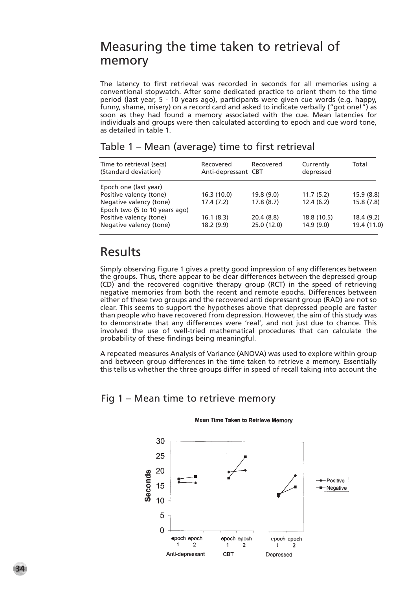### Measuring the time taken to retrieval of memory

The latency to first retrieval was recorded in seconds for all memories using a conventional stopwatch. After some dedicated practice to orient them to the time period (last year, 5 - 10 years ago), participants were given cue words (e.g. happy, funny, shame, misery) on a record card and asked to indicate verbally ("got one!") as soon as they had found a memory associated with the cue. Mean latencies for individuals and groups were then calculated according to epoch and cue word tone, as detailed in table 1.

| Time to retrieval (secs)<br>(Standard deviation) | Recovered<br>Anti-depressant CBT | Recovered   | Currently<br>depressed | Total       |
|--------------------------------------------------|----------------------------------|-------------|------------------------|-------------|
| Epoch one (last year)                            |                                  |             |                        |             |
| Positive valency (tone)                          | 16.3(10.0)                       | 19.8 (9.0)  | 11.7(5.2)              | 15.9(8.8)   |
| Negative valency (tone)                          | 17.4(7.2)                        | 17.8(8.7)   | 12.4(6.2)              | 15.8(7.8)   |
| Epoch two (5 to 10 years ago)                    |                                  |             |                        |             |
| Positive valency (tone)                          | 16.1(8.3)                        | 20.4(8.8)   | 18.8 (10.5)            | 18.4(9.2)   |
| Negative valency (tone)                          | 18.2 (9.9)                       | 25.0 (12.0) | 14.9(9.0)              | 19.4 (11.0) |

### Table 1 – Mean (average) time to first retrieval

### Results

Simply observing Figure 1 gives a pretty good impression of any differences between the groups. Thus, there appear to be clear differences between the depressed group (CD) and the recovered cognitive therapy group (RCT) in the speed of retrieving negative memories from both the recent and remote epochs. Differences between either of these two groups and the recovered anti depressant group (RAD) are not so clear. This seems to support the hypotheses above that depressed people are faster than people who have recovered from depression. However, the aim of this study was to demonstrate that any differences were 'real', and not just due to chance. This involved the use of well-tried mathematical procedures that can calculate the probability of these findings being meaningful.

A repeated measures Analysis of Variance (ANOVA) was used to explore within group and between group differences in the time taken to retrieve a memory. Essentially this tells us whether the three groups differ in speed of recall taking into account the

### Fig 1 – Mean time to retrieve memory



#### **Mean Time Taken to Retrieve Memory**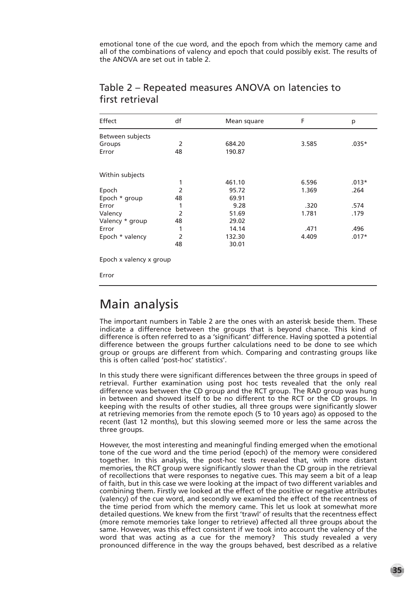emotional tone of the cue word, and the epoch from which the memory came and all of the combinations of valency and epoch that could possibly exist. The results of the ANOVA are set out in table 2.

| Effect           | df             | Mean square | F     | р       |
|------------------|----------------|-------------|-------|---------|
| Between subjects |                |             |       |         |
| Groups           | 2              | 684.20      | 3.585 | $.035*$ |
| Error            | 48             | 190.87      |       |         |
| Within subjects  |                |             |       |         |
|                  | 1              | 461.10      | 6.596 | $.013*$ |
| Epoch            | $\overline{2}$ | 95.72       | 1.369 | .264    |
| Epoch * group    | 48             | 69.91       |       |         |
| Error            | 1              | 9.28        | .320  | .574    |
| Valency          | $\overline{2}$ | 51.69       | 1.781 | .179    |
| Valency * group  | 48             | 29.02       |       |         |
| Error            | 1              | 14.14       | .471  | .496    |
| Epoch * valency  | $\overline{2}$ | 132.30      | 4.409 | $.017*$ |
|                  | 48             | 30.01       |       |         |

### Table 2 – Repeated measures ANOVA on latencies to first retrieval

Error

## Main analysis

The important numbers in Table 2 are the ones with an asterisk beside them. These indicate a difference between the groups that is beyond chance. This kind of difference is often referred to as a 'significant' difference. Having spotted a potential difference between the groups further calculations need to be done to see which group or groups are different from which. Comparing and contrasting groups like this is often called 'post-hoc' statistics'.

In this study there were significant differences between the three groups in speed of retrieval. Further examination using post hoc tests revealed that the only real difference was between the CD group and the RCT group. The RAD group was hung in between and showed itself to be no different to the RCT or the CD groups. In keeping with the results of other studies, all three groups were significantly slower at retrieving memories from the remote epoch (5 to 10 years ago) as opposed to the recent (last 12 months), but this slowing seemed more or less the same across the three groups.

However, the most interesting and meaningful finding emerged when the emotional tone of the cue word and the time period (epoch) of the memory were considered together. In this analysis, the post-hoc tests revealed that, with more distant memories, the RCT group were significantly slower than the CD group in the retrieval of recollections that were responses to negative cues. This may seem a bit of a leap of faith, but in this case we were looking at the impact of two different variables and combining them. Firstly we looked at the effect of the positive or negative attributes (valency) of the cue word, and secondly we examined the effect of the recentness of the time period from which the memory came. This let us look at somewhat more detailed questions. We knew from the first 'trawl' of results that the recentness effect (more remote memories take longer to retrieve) affected all three groups about the same. However, was this effect consistent if we took into account the valency of the word that was acting as a cue for the memory? This study revealed a very pronounced difference in the way the groups behaved, best described as a relative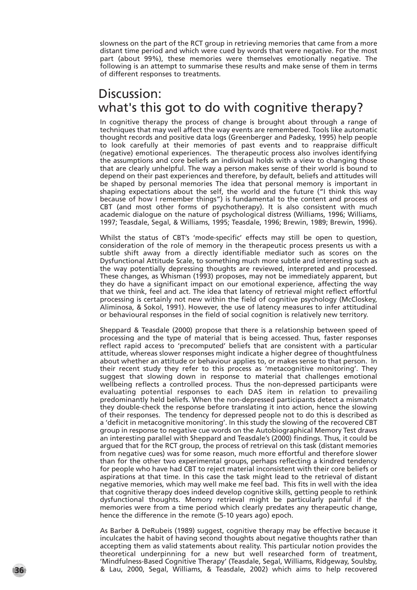slowness on the part of the RCT group in retrieving memories that came from a more distant time period and which were cued by words that were negative. For the most part (about 99%), these memories were themselves emotionally negative. The following is an attempt to summarise these results and make sense of them in terms of different responses to treatments.

### Discussion: what's this got to do with cognitive therapy?

In cognitive therapy the process of change is brought about through a range of techniques that may well affect the way events are remembered. Tools like automatic thought records and positive data logs (Greenberger and Padesky, 1995) help people to look carefully at their memories of past events and to reappraise difficult (negative) emotional experiences. The therapeutic process also involves identifying the assumptions and core beliefs an individual holds with a view to changing those that are clearly unhelpful. The way a person makes sense of their world is bound to depend on their past experiences and therefore, by default, beliefs and attitudes will be shaped by personal memories The idea that personal memory is important in shaping expectations about the self, the world and the future ("I think this way because of how I remember things") is fundamental to the content and process of CBT (and most other forms of psychotherapy). It is also consistent with much academic dialogue on the nature of psychological distress (Williams, 1996; Williams, 1997; Teasdale, Segal, & Williams, 1995; Teasdale, 1996; Brewin, 1989; Brewin, 1996).

Whilst the status of CBT's 'mode-specific' effects may still be open to question, consideration of the role of memory in the therapeutic process presents us with a subtle shift away from a directly identifiable mediator such as scores on the Dysfunctional Attitude Scale, to something much more subtle and interesting such as the way potentially depressing thoughts are reviewed, interpreted and processed. These changes, as Whisman (1993) proposes, may not be immediately apparent, but they do have a significant impact on our emotional experience, affecting the way that we think, feel and act. The idea that latency of retrieval might reflect effortful processing is certainly not new within the field of cognitive psychology (McCloskey, Aliminosa, & Sokol, 1991). However, the use of latency measures to infer attitudinal or behavioural responses in the field of social cognition is relatively new territory.

Sheppard & Teasdale (2000) propose that there is a relationship between speed of processing and the type of material that is being accessed. Thus, faster responses reflect rapid access to 'precomputed' beliefs that are consistent with a particular attitude, whereas slower responses might indicate a higher degree of thoughtfulness about whether an attitude or behaviour applies to, or makes sense to that person. In their recent study they refer to this process as 'metacognitive monitoring'. They suggest that slowing down in response to material that challenges emotional wellbeing reflects a controlled process. Thus the non-depressed participants were evaluating potential responses to each DAS item in relation to prevailing predominantly held beliefs. When the non-depressed participants detect a mismatch they double-check the response before translating it into action, hence the slowing of their responses. The tendency for depressed people not to do this is described as a 'deficit in metacognitive monitoring'. In this study the slowing of the recovered CBT group in response to negative cue words on the Autobiographical Memory Test draws an interesting parallel with Sheppard and Teasdale's (2000) findings. Thus, it could be argued that for the RCT group, the process of retrieval on this task (distant memories from negative cues) was for some reason, much more effortful and therefore slower than for the other two experimental groups, perhaps reflecting a kindred tendency for people who have had CBT to reject material inconsistent with their core beliefs or aspirations at that time. In this case the task might lead to the retrieval of distant negative memories, which may well make me feel bad. This fits in well with the idea that cognitive therapy does indeed develop cognitive skills, getting people to rethink dysfunctional thoughts. Memory retrieval might be particularly painful if the memories were from a time period which clearly predates any therapeutic change, hence the difference in the remote (5-10 years ago) epoch.

As Barber & DeRubeis (1989) suggest, cognitive therapy may be effective because it inculcates the habit of having second thoughts about negative thoughts rather than accepting them as valid statements about reality. This particular notion provides the theoretical underpinning for a new but well researched form of treatment, 'Mindfulness-Based Cognitive Therapy' (Teasdale, Segal, Williams, Ridgeway, Soulsby, **36** & Lau, 2000, Segal, Williams, & Teasdale, 2002) which aims to help recovered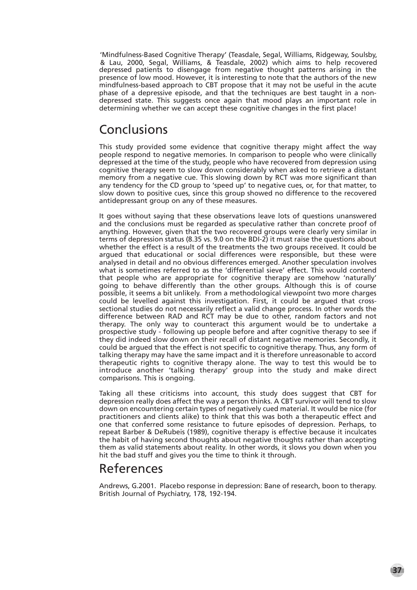'Mindfulness-Based Cognitive Therapy' (Teasdale, Segal, Williams, Ridgeway, Soulsby, & Lau, 2000, Segal, Williams, & Teasdale, 2002) which aims to help recovered depressed patients to disengage from negative thought patterns arising in the presence of low mood. However, it is interesting to note that the authors of the new mindfulness-based approach to CBT propose that it may not be useful in the acute phase of a depressive episode, and that the techniques are best taught in a nondepressed state. This suggests once again that mood plays an important role in determining whether we can accept these cognitive changes in the first place!

### Conclusions

This study provided some evidence that cognitive therapy might affect the way people respond to negative memories. In comparison to people who were clinically depressed at the time of the study, people who have recovered from depression using cognitive therapy seem to slow down considerably when asked to retrieve a distant memory from a negative cue. This slowing down by RCT was more significant than any tendency for the CD group to 'speed up' to negative cues, or, for that matter, to slow down to positive cues, since this group showed no difference to the recovered antidepressant group on any of these measures.

It goes without saying that these observations leave lots of questions unanswered and the conclusions must be regarded as speculative rather than concrete proof of anything. However, given that the two recovered groups were clearly very similar in terms of depression status (8.35 vs. 9.0 on the BDI-2) it must raise the questions about whether the effect is a result of the treatments the two groups received. It could be argued that educational or social differences were responsible, but these were analysed in detail and no obvious differences emerged. Another speculation involves what is sometimes referred to as the 'differential sieve' effect. This would contend that people who are appropriate for cognitive therapy are somehow 'naturally' going to behave differently than the other groups. Although this is of course possible, it seems a bit unlikely. From a methodological viewpoint two more charges could be levelled against this investigation. First, it could be argued that crosssectional studies do not necessarily reflect a valid change process. In other words the difference between RAD and RCT may be due to other, random factors and not therapy. The only way to counteract this argument would be to undertake a prospective study - following up people before and after cognitive therapy to see if they did indeed slow down on their recall of distant negative memories. Secondly, it could be argued that the effect is not specific to cognitive therapy. Thus, any form of talking therapy may have the same impact and it is therefore unreasonable to accord therapeutic rights to cognitive therapy alone. The way to test this would be to introduce another 'talking therapy' group into the study and make direct comparisons. This is ongoing.

Taking all these criticisms into account, this study does suggest that CBT for depression really does affect the way a person thinks. A CBT survivor will tend to slow down on encountering certain types of negatively cued material. It would be nice (for practitioners and clients alike) to think that this was both a therapeutic effect and one that conferred some resistance to future episodes of depression. Perhaps, to repeat Barber & DeRubeis (1989), cognitive therapy is effective because it inculcates the habit of having second thoughts about negative thoughts rather than accepting them as valid statements about reality. In other words, it slows you down when you hit the bad stuff and gives you the time to think it through.

### References

Andrews, G.2001. Placebo response in depression: Bane of research, boon to therapy. British Journal of Psychiatry, 178, 192-194.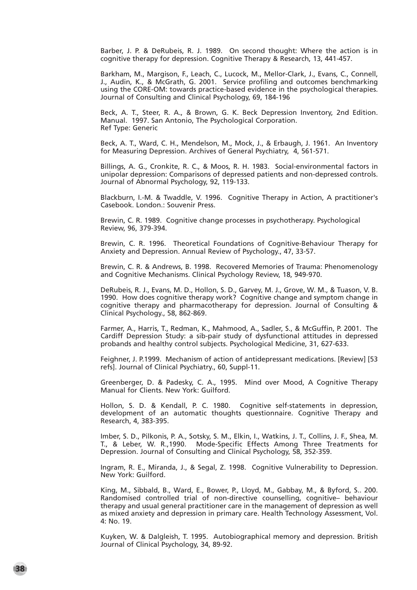Barber, J. P. & DeRubeis, R. J. 1989. On second thought: Where the action is in cognitive therapy for depression. Cognitive Therapy & Research, 13, 441-457.

Barkham, M., Margison, F., Leach, C., Lucock, M., Mellor-Clark, J., Evans, C., Connell, J., Audin, K., & McGrath, G. 2001. Service profiling and outcomes benchmarking using the CORE-OM: towards practice-based evidence in the psychological therapies. Journal of Consulting and Clinical Psychology, 69, 184-196

Beck, A. T., Steer, R. A., & Brown, G. K. Beck Depression Inventory, 2nd Edition. Manual. 1997. San Antonio, The Psychological Corporation. Ref Type: Generic

Beck, A. T., Ward, C. H., Mendelson, M., Mock, J., & Erbaugh, J. 1961. An Inventory for Measuring Depression. Archives of General Psychiatry, 4, 561-571.

Billings, A. G., Cronkite, R. C., & Moos, R. H. 1983. Social-environmental factors in unipolar depression: Comparisons of depressed patients and non-depressed controls. Journal of Abnormal Psychology, 92, 119-133.

Blackburn, I.-M. & Twaddle, V. 1996. Cognitive Therapy in Action, A practitioner's Casebook. London.: Souvenir Press.

Brewin, C. R. 1989. Cognitive change processes in psychotherapy. Psychological Review, 96, 379-394.

Brewin, C. R. 1996. Theoretical Foundations of Cognitive-Behaviour Therapy for Anxiety and Depression. Annual Review of Psychology., 47, 33-57.

Brewin, C. R. & Andrews, B. 1998. Recovered Memories of Trauma: Phenomenology and Cognitive Mechanisms. Clinical Psychology Review, 18, 949-970.

DeRubeis, R. J., Evans, M. D., Hollon, S. D., Garvey, M. J., Grove, W. M., & Tuason, V. B. 1990. How does cognitive therapy work? Cognitive change and symptom change in cognitive therapy and pharmacotherapy for depression. Journal of Consulting & Clinical Psychology., 58, 862-869.

Farmer, A., Harris, T., Redman, K., Mahmood, A., Sadler, S., & McGuffin, P. 2001. The Cardiff Depression Study: a sib-pair study of dysfunctional attitudes in depressed probands and healthy control subjects. Psychological Medicine, 31, 627-633.

Feighner, J. P.1999. Mechanism of action of antidepressant medications. [Review] [53 refs]. Journal of Clinical Psychiatry., 60, Suppl-11.

Greenberger, D. & Padesky, C. A., 1995. Mind over Mood, A Cognitive Therapy Manual for Clients. New York: Guilford.

Hollon, S. D. & Kendall, P. C. 1980. Cognitive self-statements in depression, development of an automatic thoughts questionnaire. Cognitive Therapy and Research, 4, 383-395.

Imber, S. D., Pilkonis, P. A., Sotsky, S. M., Elkin, I., Watkins, J. T., Collins, J. F., Shea, M. T., & Leber, W. R.,1990. Mode-Specific Effects Among Three Treatments for Depression. Journal of Consulting and Clinical Psychology, 58, 352-359.

Ingram, R. E., Miranda, J., & Segal, Z. 1998. Cognitive Vulnerability to Depression. New York: Guilford.

King, M., Sibbald, B., Ward, E., Bower, P., Lloyd, M., Gabbay, M., & Byford, S.. 200. Randomised controlled trial of non-directive counselling, cognitive– behaviour therapy and usual general practitioner care in the management of depression as well as mixed anxiety and depression in primary care. Health Technology Assessment, Vol. 4: No. 19.

Kuyken, W. & Dalgleish, T. 1995. Autobiographical memory and depression. British Journal of Clinical Psychology, 34, 89-92.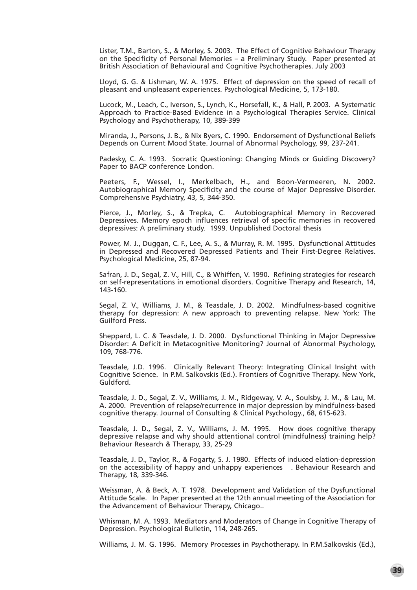Lister, T.M., Barton, S., & Morley, S. 2003. The Effect of Cognitive Behaviour Therapy on the Specificity of Personal Memories – a Preliminary Study. Paper presented at British Association of Behavioural and Cognitive Psychotherapies. July 2003

Lloyd, G. G. & Lishman, W. A. 1975. Effect of depression on the speed of recall of pleasant and unpleasant experiences. Psychological Medicine, 5, 173-180.

Lucock, M., Leach, C., Iverson, S., Lynch, K., Horsefall, K., & Hall, P. 2003. A Systematic Approach to Practice-Based Evidence in a Psychological Therapies Service. Clinical Psychology and Psychotherapy, 10, 389-399

Miranda, J., Persons, J. B., & Nix Byers, C. 1990. Endorsement of Dysfunctional Beliefs Depends on Current Mood State. Journal of Abnormal Psychology, 99, 237-241.

Padesky, C. A. 1993. Socratic Questioning: Changing Minds or Guiding Discovery? Paper to BACP conference London.

Peeters, F., Wessel, I., Merkelbach, H., and Boon-Vermeeren, N. 2002. Autobiographical Memory Specificity and the course of Major Depressive Disorder. Comprehensive Psychiatry, 43, 5, 344-350.

Pierce, J., Morley, S., & Trepka, C. Autobiographical Memory in Recovered Depressives. Memory epoch influences retrieval of specific memories in recovered depressives: A preliminary study. 1999. Unpublished Doctoral thesis

Power, M. J., Duggan, C. F., Lee, A. S., & Murray, R. M. 1995. Dysfunctional Attitudes in Depressed and Recovered Depressed Patients and Their First-Degree Relatives. Psychological Medicine, 25, 87-94.

Safran, J. D., Segal, Z. V., Hill, C., & Whiffen, V. 1990. Refining strategies for research on self-representations in emotional disorders. Cognitive Therapy and Research, 14, 143-160.

Segal, Z. V., Williams, J. M., & Teasdale, J. D. 2002. Mindfulness-based cognitive therapy for depression: A new approach to preventing relapse. New York: The Guilford Press.

Sheppard, L. C. & Teasdale, J. D. 2000. Dysfunctional Thinking in Major Depressive Disorder: A Deficit in Metacognitive Monitoring? Journal of Abnormal Psychology, 109, 768-776.

Teasdale, J.D. 1996. Clinically Relevant Theory: Integrating Clinical Insight with Cognitive Science. In P.M. Salkovskis (Ed.). Frontiers of Cognitive Therapy. New York, Guldford.

Teasdale, J. D., Segal, Z. V., Williams, J. M., Ridgeway, V. A., Soulsby, J. M., & Lau, M. A. 2000. Prevention of relapse/recurrence in major depression by mindfulness-based cognitive therapy. Journal of Consulting & Clinical Psychology., 68, 615-623.

Teasdale, J. D., Segal, Z. V., Williams, J. M. 1995. How does cognitive therapy depressive relapse and why should attentional control (mindfulness) training help? Behaviour Research & Therapy, 33, 25-29

Teasdale, J. D., Taylor, R., & Fogarty, S. J. 1980. Effects of induced elation-depression on the accessibility of happy and unhappy experiences . Behaviour Research and Therapy, 18, 339-346.

Weissman, A. & Beck, A. T. 1978. Development and Validation of the Dysfunctional Attitude Scale. In Paper presented at the 12th annual meeting of the Association for the Advancement of Behaviour Therapy, Chicago..

Whisman, M. A. 1993. Mediators and Moderators of Change in Cognitive Therapy of Depression. Psychological Bulletin, 114, 248-265.

Williams, J. M. G. 1996. Memory Processes in Psychotherapy. In P.M.Salkovskis (Ed.),